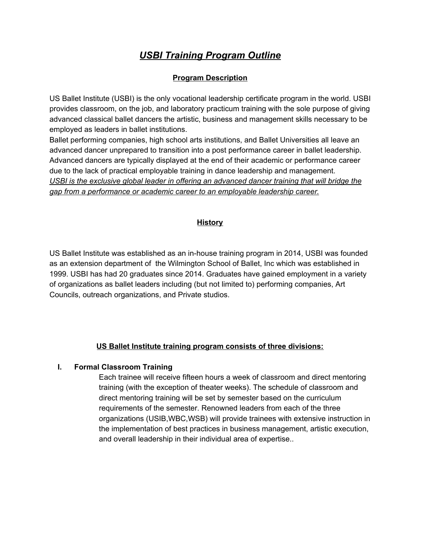# *USBI Training Program Outline*

## **Program Description**

US Ballet Institute (USBI) is the only vocational leadership certificate program in the world. USBI provides classroom, on the job, and laboratory practicum training with the sole purpose of giving advanced classical ballet dancers the artistic, business and management skills necessary to be employed as leaders in ballet institutions.

Ballet performing companies, high school arts institutions, and Ballet Universities all leave an advanced dancer unprepared to transition into a post performance career in ballet leadership. Advanced dancers are typically displayed at the end of their academic or performance career due to the lack of practical employable training in dance leadership and management. *USBI is the exclusive global leader in offering an advanced dancer training that will bridge the gap from a performance or academic career to an employable leadership career.*

#### **History**

US Ballet Institute was established as an in-house training program in 2014, USBI was founded as an extension department of the Wilmington School of Ballet, Inc which was established in 1999. USBI has had 20 graduates since 2014. Graduates have gained employment in a variety of organizations as ballet leaders including (but not limited to) performing companies, Art Councils, outreach organizations, and Private studios.

## **US Ballet Institute training program consists of three divisions:**

## **I. Formal Classroom Training**

Each trainee will receive fifteen hours a week of classroom and direct mentoring training (with the exception of theater weeks). The schedule of classroom and direct mentoring training will be set by semester based on the curriculum requirements of the semester. Renowned leaders from each of the three organizations (USIB,WBC,WSB) will provide trainees with extensive instruction in the implementation of best practices in business management, artistic execution, and overall leadership in their individual area of expertise..